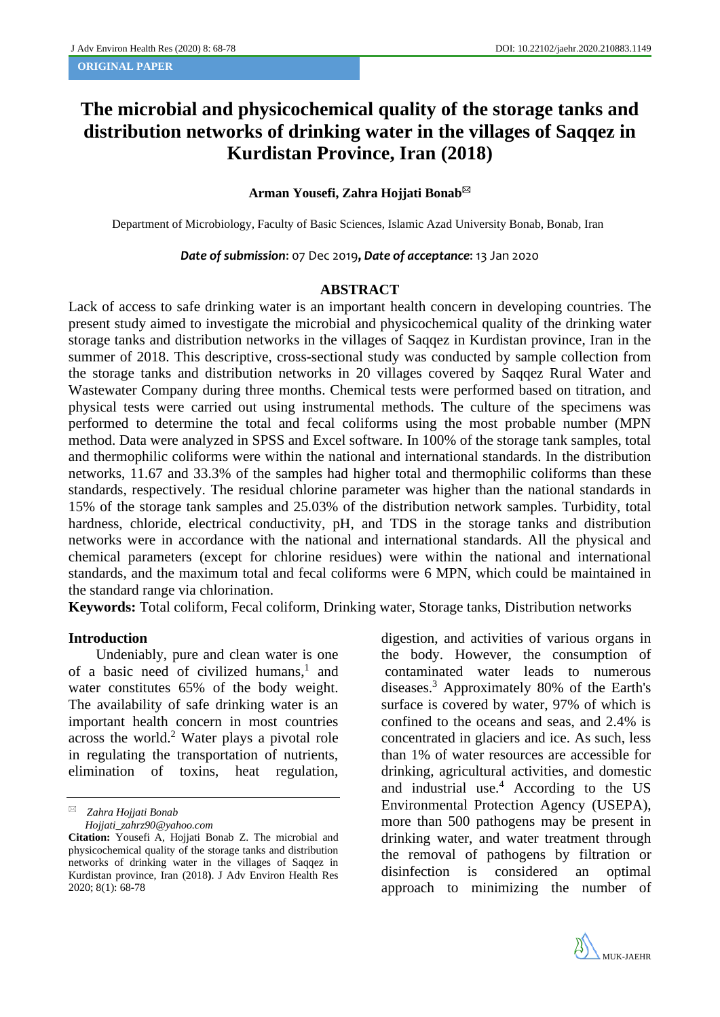## **The microbial and physicochemical quality of the storage tanks and distribution networks of drinking water in the villages of Saqqez in Kurdistan Province, Iran (2018)**

## **Arman Yousefi, Zahra Hojjati Bonab**

Department of Microbiology, Faculty of Basic Sciences, Islamic Azad University Bonab, Bonab, Iran

*Date of submission*: 07 Dec 2019, *Date of acceptance*: 13 Jan 2020

## **ABSTRACT**

Lack of access to safe drinking water is an important health concern in developing countries. The present study aimed to investigate the microbial and physicochemical quality of the drinking water storage tanks and distribution networks in the villages of Saqqez in Kurdistan province, Iran in the summer of 2018. This descriptive, cross-sectional study was conducted by sample collection from the storage tanks and distribution networks in 20 villages covered by Saqqez Rural Water and Wastewater Company during three months. Chemical tests were performed based on titration, and physical tests were carried out using instrumental methods. The culture of the specimens was performed to determine the total and fecal coliforms using the most probable number (MPN method. Data were analyzed in SPSS and Excel software. In 100% of the storage tank samples, total and thermophilic coliforms were within the national and international standards. In the distribution networks, 11.67 and 33.3% of the samples had higher total and thermophilic coliforms than these standards, respectively. The residual chlorine parameter was higher than the national standards in 15% of the storage tank samples and 25.03% of the distribution network samples. Turbidity, total hardness, chloride, electrical conductivity, pH, and TDS in the storage tanks and distribution networks were in accordance with the national and international standards. All the physical and chemical parameters (except for chlorine residues) were within the national and international standards, and the maximum total and fecal coliforms were 6 MPN, which could be maintained in the standard range via chlorination. **Keywords:** Total coliform, Fecal coliform, Drinking water, Storage tanks, Distribution networks

### **Introduction**

Undeniably, pure and clean water is one of a basic need of civilized humans,<sup>1</sup> and water constitutes 65% of the body weight. The availability of safe drinking water is an important health concern in most countries across the world. <sup>2</sup> Water plays a pivotal role in regulating the transportation of nutrients, elimination of toxins, heat regulation,

*Zahra Hojjati Bonab*

 *[Hojjati\\_zahrz90@yahoo.com](mailto:Hojjati_zahrz90@yahoo.com)*

digestion, and activities of various organs in the body. However, the consumption of contaminated water leads to numerous diseases.<sup>3</sup> Approximately 80% of the Earth's surface is covered by water, 97% of which is confined to the oceans and seas, and 2.4% is concentrated in glaciers and ice. As such, less than 1% of water resources are accessible for drinking, agricultural activities, and domestic and industrial use. <sup>4</sup> According to the US Environmental Protection Agency (USEPA), more than 500 pathogens may be present in drinking water, and water treatment through the removal of pathogens by filtration or disinfection is considered an optimal approach to minimizing the number of



**Citation:** Yousefi A, Hojjati Bonab Z. The microbial and physicochemical quality of the storage tanks and distribution networks of drinking water in the villages of Saqqez in Kurdistan province, Iran (2018**)**. J Adv Environ Health Res 2020; 8(1): 68-78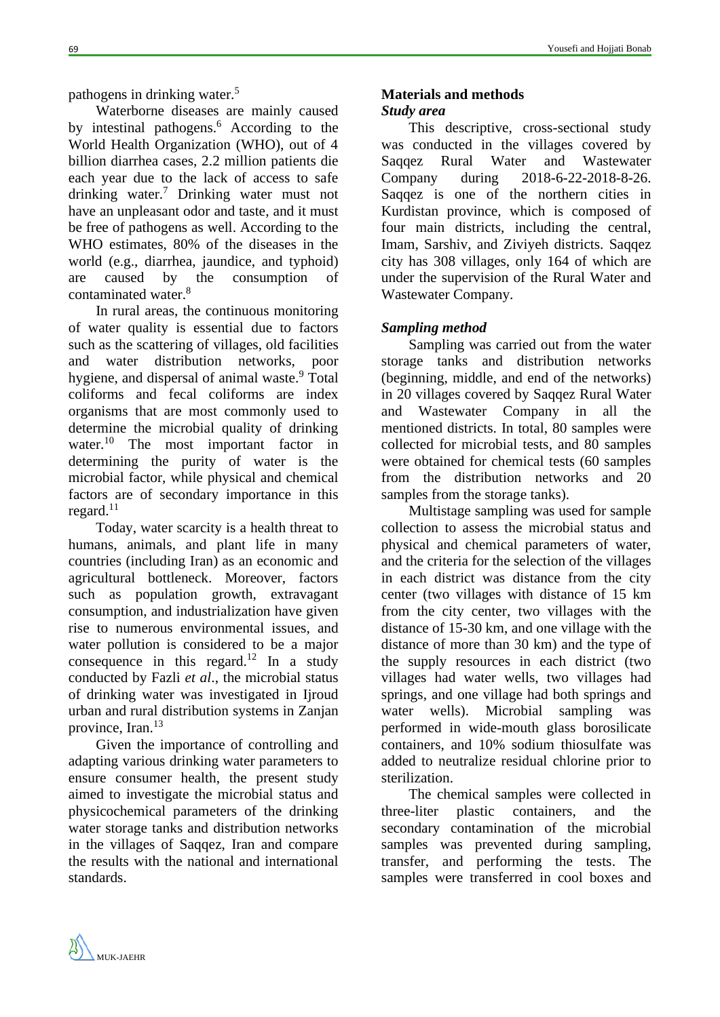pathogens in drinking water. 5

Waterborne diseases are mainly caused by intestinal pathogens. <sup>6</sup> According to the World Health Organization (WHO), out of 4 billion diarrhea cases, 2.2 million patients die each year due to the lack of access to safe drinking water. <sup>7</sup> Drinking water must not have an unpleasant odor and taste, and it must be free of pathogens as well. According to the WHO estimates, 80% of the diseases in the world (e.g., diarrhea, jaundice, and typhoid) are caused by the consumption of contaminated water. 8

In rural areas, the continuous monitoring of water quality is essential due to factors such as the scattering of villages, old facilities and water distribution networks, poor hygiene, and dispersal of animal waste.<sup>9</sup> Total coliforms and fecal coliforms are index organisms that are most commonly used to determine the microbial quality of drinking water. <sup>10</sup> The most important factor in determining the purity of water is the microbial factor, while physical and chemical factors are of secondary importance in this regard. $11$ 

Today, water scarcity is a health threat to humans, animals, and plant life in many countries (including Iran) as an economic and agricultural bottleneck. Moreover, factors such as population growth, extravagant consumption, and industrialization have given rise to numerous environmental issues, and water pollution is considered to be a major consequence in this regard.<sup>12</sup> In a study conducted by Fazli *et al*., the microbial status of drinking water was investigated in Ijroud urban and rural distribution systems in Zanjan province, Iran.<sup>13</sup>

Given the importance of controlling and adapting various drinking water parameters to ensure consumer health, the present study aimed to investigate the microbial status and physicochemical parameters of the drinking water storage tanks and distribution networks in the villages of Saqqez, Iran and compare the results with the national and international standards.

# **Materials and methods**

## *Study area*

This descriptive, cross-sectional study was conducted in the villages covered by Saqqez Rural Water and Wastewater Company during 2018-6-22-2018-8-26. Saqqez is one of the northern cities in Kurdistan province, which is composed of four main districts, including the central, Imam, Sarshiv, and Ziviyeh districts. Saqqez city has 308 villages, only 164 of which are under the supervision of the Rural Water and Wastewater Company.

## *Sampling method*

Sampling was carried out from the water storage tanks and distribution networks (beginning, middle, and end of the networks) in 20 villages covered by Saqqez Rural Water and Wastewater Company in all the mentioned districts. In total, 80 samples were collected for microbial tests, and 80 samples were obtained for chemical tests (60 samples from the distribution networks and 20 samples from the storage tanks).

Multistage sampling was used for sample collection to assess the microbial status and physical and chemical parameters of water, and the criteria for the selection of the villages in each district was distance from the city center (two villages with distance of 15 km from the city center, two villages with the distance of 15-30 km, and one village with the distance of more than 30 km) and the type of the supply resources in each district (two villages had water wells, two villages had springs, and one village had both springs and water wells). Microbial sampling was performed in wide-mouth glass borosilicate containers, and 10% sodium thiosulfate was added to neutralize residual chlorine prior to sterilization.

The chemical samples were collected in three-liter plastic containers, and the secondary contamination of the microbial samples was prevented during sampling, transfer, and performing the tests. The samples were transferred in cool boxes and

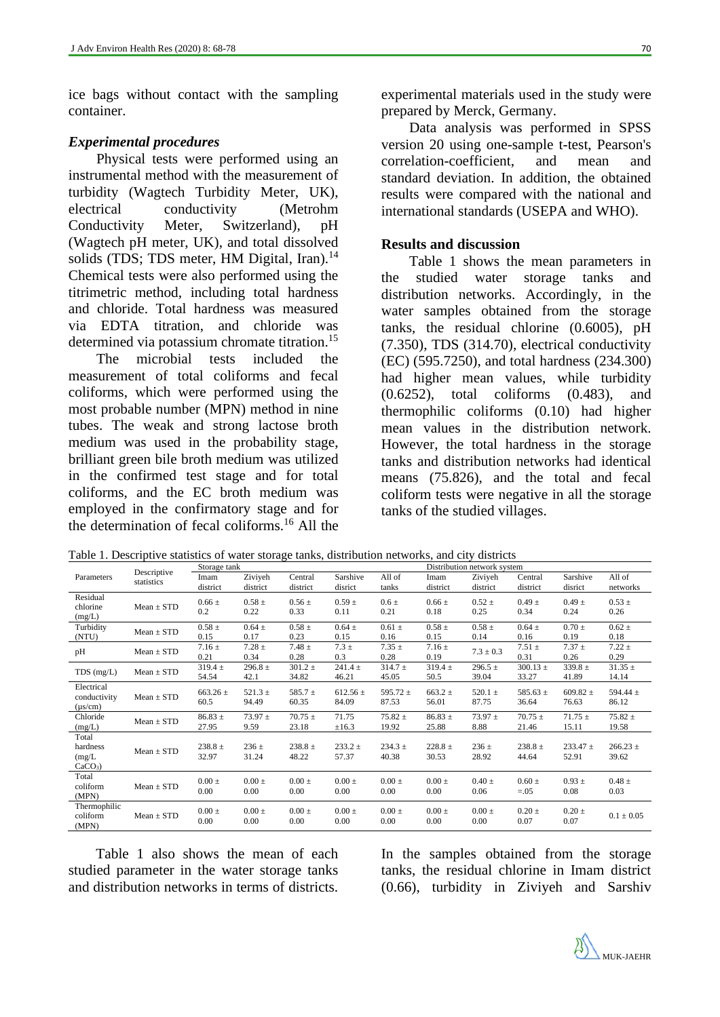ice bags without contact with the sampling container.

## *Experimental procedures*

Physical tests were performed using an instrumental method with the measurement of turbidity (Wagtech Turbidity Meter, UK), electrical conductivity (Metrohm Conductivity Meter, Switzerland), pH (Wagtech pH meter, UK), and total dissolved solids (TDS; TDS meter, HM Digital, Iran).<sup>14</sup> Chemical tests were also performed using the titrimetric method, including total hardness and chloride. Total hardness was measured via EDTA titration, and chloride was determined via potassium chromate titration.<sup>15</sup>

The microbial tests included the measurement of total coliforms and fecal coliforms, which were performed using the most probable number (MPN) method in nine tubes. The weak and strong lactose broth medium was used in the probability stage, brilliant green bile broth medium was utilized in the confirmed test stage and for total coliforms, and the EC broth medium was employed in the confirmatory stage and for the determination of fecal coliforms.<sup>16</sup> All the experimental materials used in the study were prepared by Merck, Germany.

Data analysis was performed in SPSS version 20 using one-sample t-test, Pearson's correlation-coefficient, and mean and standard deviation. In addition, the obtained results were compared with the national and international standards (USEPA and WHO).

## **Results and discussion**

Table 1 shows the mean parameters in the studied water storage tanks and distribution networks. Accordingly, in the water samples obtained from the storage tanks, the residual chlorine (0.6005), pH (7.350), TDS (314.70), electrical conductivity (EC) (595.7250), and total hardness (234.300) had higher mean values, while turbidity (0.6252), total coliforms (0.483), and thermophilic coliforms (0.10) had higher mean values in the distribution network. However, the total hardness in the storage tanks and distribution networks had identical means (75.826), and the total and fecal coliform tests were negative in all the storage tanks of the studied villages.

|                                            |                           | Storage tank         |                      |                      |                       |                       | Distribution network system |                      |                       |                       |                       |  |
|--------------------------------------------|---------------------------|----------------------|----------------------|----------------------|-----------------------|-----------------------|-----------------------------|----------------------|-----------------------|-----------------------|-----------------------|--|
| Parameters                                 | Descriptive<br>statistics | Imam<br>district     | Ziviyeh<br>district  | Central<br>district  | Sarshive<br>disrict   | All of<br>tanks       | Imam<br>district            | Ziviyeh<br>district  | Central<br>district   | Sarshive<br>disrict   | All of<br>networks    |  |
| Residual<br>chlorine<br>(mg/L)             | $Mean \pm STD$            | $0.66 \pm$<br>0.2    | $0.58 \pm$<br>0.22   | $0.56 \pm$<br>0.33   | $0.59 \pm$<br>0.11    | $0.6 \pm$<br>0.21     | $0.66 \pm$<br>0.18          | $0.52 \pm$<br>0.25   | $0.49 \pm$<br>0.34    | $0.49 \pm$<br>0.24    | $0.53 \pm$<br>0.26    |  |
| Turbidity<br>(NTU)                         | $Mean \pm STD$            | $0.58 \pm$<br>0.15   | $0.64 \pm$<br>0.17   | $0.58 \pm$<br>0.23   | $0.64 \pm$<br>0.15    | $0.61 \pm$<br>0.16    | $0.58 \pm$<br>0.15          | $0.58 \pm$<br>0.14   | $0.64 \pm$<br>0.16    | $0.70 \pm$<br>0.19    | $0.62 \pm$<br>0.18    |  |
| pH                                         | $Mean \pm STD$            | $7.16 \pm$<br>0.21   | $7.28 \pm$<br>0.34   | $7.48 \pm$<br>0.28   | $7.3 \pm$<br>0.3      | $7.35 \pm$<br>0.28    | $7.16 \pm$<br>0.19          | $7.3 \pm 0.3$        | $7.51 \pm$<br>0.31    | $7.37 \pm$<br>0.26    | $7.22 \pm$<br>0.29    |  |
| $TDS$ (mg/L)                               | $Mean \pm STD$            | $319.4 \pm$<br>54.54 | $296.8 \pm$<br>42.1  | $301.2 \pm$<br>34.82 | $241.4 \pm$<br>46.21  | $314.7 \pm$<br>45.05  | $319.4 \pm$<br>50.5         | $296.5 \pm$<br>39.04 | $300.13 \pm$<br>33.27 | $339.8 \pm$<br>41.89  | $31.35 \pm$<br>14.14  |  |
| Electrical<br>conductivity<br>$(\mu s/cm)$ | $Mean \pm STD$            | $663.26 \pm$<br>60.5 | $521.3 \pm$<br>94.49 | $585.7 \pm$<br>60.35 | $612.56 \pm$<br>84.09 | 595.72 $\pm$<br>87.53 | $663.2 \pm$<br>56.01        | 520.1 $\pm$<br>87.75 | 585.63 $\pm$<br>36.64 | $609.82 \pm$<br>76.63 | 594.44 $\pm$<br>86.12 |  |
| Chloride<br>(mg/L)                         | $Mean \pm STD$            | $86.83 \pm$<br>27.95 | $73.97 \pm$<br>9.59  | $70.75 \pm$<br>23.18 | 71.75<br>$\pm 16.3$   | $75.82 \pm$<br>19.92  | $86.83 \pm$<br>25.88        | $73.97 \pm$<br>8.88  | $70.75 \pm$<br>21.46  | $71.75 \pm$<br>15.11  | $75.82 \pm$<br>19.58  |  |
| Total<br>hardness<br>(mg/L)<br>$CaCO3$ )   | $Mean \pm STD$            | $238.8 \pm$<br>32.97 | $236 \pm$<br>31.24   | $238.8 \pm$<br>48.22 | $233.2 \pm$<br>57.37  | $234.3 \pm$<br>40.38  | $228.8 \pm$<br>30.53        | $236 \pm$<br>28.92   | $238.8 \pm$<br>44.64  | $233.47 \pm$<br>52.91 | $266.23 \pm$<br>39.62 |  |
| Total<br>coliform<br>(MPN)                 | $Mean \pm STD$            | $0.00 \pm$<br>0.00   | $0.00 \pm$<br>0.00   | $0.00 \pm$<br>0.00   | $0.00 \pm$<br>0.00    | $0.00 \pm$<br>0.00    | $0.00 \pm$<br>0.00          | $0.40 \pm$<br>0.06   | $0.60 \pm$<br>$=.05$  | $0.93 \pm$<br>0.08    | $0.48 \pm$<br>0.03    |  |
| Thermophilic<br>coliform<br>(MPN)          | $Mean \pm STD$            | $0.00 \pm$<br>0.00   | $0.00 \pm$<br>0.00   | $0.00 \pm$<br>0.00   | $0.00 \pm$<br>0.00    | $0.00 \pm$<br>0.00    | $0.00 \pm$<br>0.00          | $0.00 \pm$<br>0.00   | $0.20 \pm$<br>0.07    | $0.20 \pm$<br>0.07    | $0.1 \pm 0.05$        |  |

Table 1. Descriptive statistics of water storage tanks, distribution networks, and city districts

Table 1 also shows the mean of each studied parameter in the water storage tanks and distribution networks in terms of districts. In the samples obtained from the storage tanks, the residual chlorine in Imam district (0.66), turbidity in Ziviyeh and Sarshiv

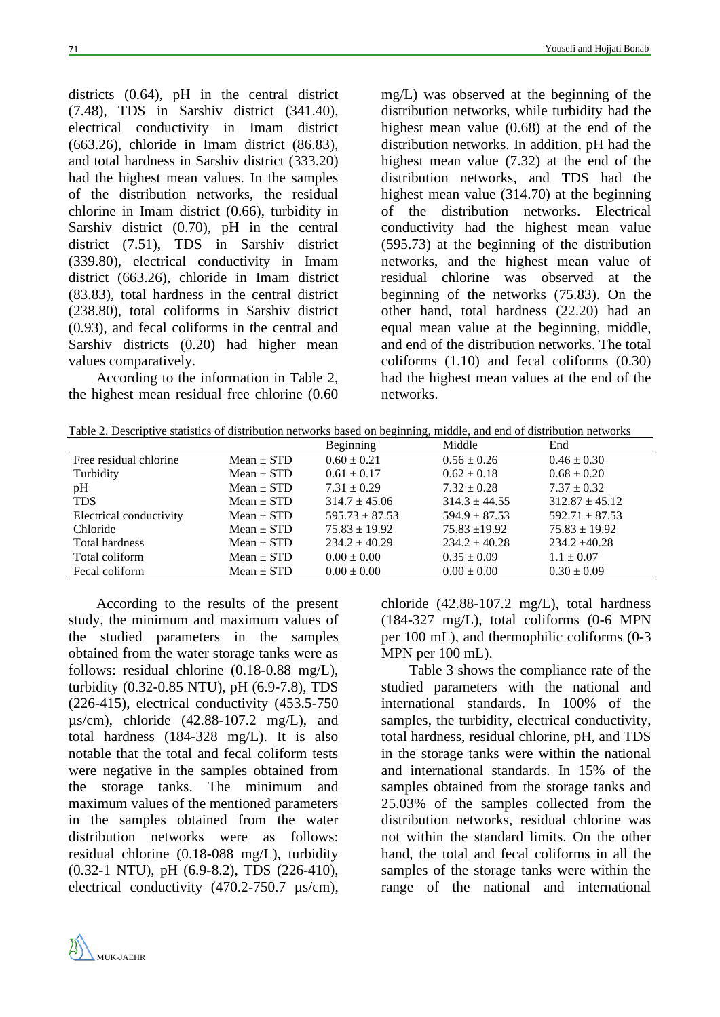districts (0.64), pH in the central district (7.48), TDS in Sarshiv district (341.40), electrical conductivity in Imam district (663.26), chloride in Imam district (86.83), and total hardness in Sarshiv district (333.20) had the highest mean values. In the samples of the distribution networks, the residual chlorine in Imam district (0.66), turbidity in Sarshiv district (0.70), pH in the central district (7.51), TDS in Sarshiv district (339.80), electrical conductivity in Imam district (663.26), chloride in Imam district (83.83), total hardness in the central district (238.80), total coliforms in Sarshiv district (0.93), and fecal coliforms in the central and Sarshiv districts (0.20) had higher mean values comparatively.

According to the information in Table 2, the highest mean residual free chlorine (0.60

mg/L) was observed at the beginning of the distribution networks, while turbidity had the highest mean value (0.68) at the end of the distribution networks. In addition, pH had the highest mean value (7.32) at the end of the distribution networks, and TDS had the highest mean value (314.70) at the beginning of the distribution networks. Electrical conductivity had the highest mean value (595.73) at the beginning of the distribution networks, and the highest mean value of residual chlorine was observed at the beginning of the networks (75.83). On the other hand, total hardness (22.20) had an equal mean value at the beginning, middle, and end of the distribution networks. The total coliforms (1.10) and fecal coliforms (0.30) had the highest mean values at the end of the networks.

Table 2. Descriptive statistics of distribution networks based on beginning, middle, and end of distribution networks

|                         |                | Beginning          | Middle            | End                |
|-------------------------|----------------|--------------------|-------------------|--------------------|
| Free residual chlorine  | $Mean \pm STD$ | $0.60 \pm 0.21$    | $0.56 \pm 0.26$   | $0.46 \pm 0.30$    |
| Turbidity               | Mean $\pm$ STD | $0.61 \pm 0.17$    | $0.62 \pm 0.18$   | $0.68 \pm 0.20$    |
| pH                      | $Mean \pm STD$ | $7.31 \pm 0.29$    | $7.32 \pm 0.28$   | $7.37 \pm 0.32$    |
| <b>TDS</b>              | $Mean \pm STD$ | $314.7 \pm 45.06$  | $314.3 \pm 44.55$ | $312.87 \pm 45.12$ |
| Electrical conductivity | $Mean \pm STD$ | $595.73 \pm 87.53$ | $594.9 \pm 87.53$ | $592.71 \pm 87.53$ |
| Chloride                | $Mean \pm STD$ | $75.83 \pm 19.92$  | $75.83 + 19.92$   | $75.83 \pm 19.92$  |
| <b>Total hardness</b>   | $Mean \pm STD$ | $234.2 \pm 40.29$  | $234.2 \pm 40.28$ | $234.2 + 40.28$    |
| Total coliform          | $Mean \pm STD$ | $0.00 \pm 0.00$    | $0.35 \pm 0.09$   | $1.1 \pm 0.07$     |
| Fecal coliform          | $Mean \pm STD$ | $0.00 \pm 0.00$    | $0.00 \pm 0.00$   | $0.30 \pm 0.09$    |

According to the results of the present study, the minimum and maximum values of the studied parameters in the samples obtained from the water storage tanks were as follows: residual chlorine (0.18-0.88 mg/L), turbidity (0.32-0.85 NTU), pH (6.9-7.8), TDS (226-415), electrical conductivity (453.5-750 µs/cm), chloride (42.88-107.2 mg/L), and total hardness (184-328 mg/L). It is also notable that the total and fecal coliform tests were negative in the samples obtained from the storage tanks. The minimum and maximum values of the mentioned parameters in the samples obtained from the water distribution networks were as follows: residual chlorine (0.18-088 mg/L), turbidity (0.32-1 NTU), pH (6.9-8.2), TDS (226-410), electrical conductivity (470.2-750.7  $\mu$ s/cm), chloride (42.88-107.2 mg/L), total hardness (184-327 mg/L), total coliforms (0-6 MPN per 100 mL), and thermophilic coliforms (0-3 MPN per 100 mL).

Table 3 shows the compliance rate of the studied parameters with the national and international standards. In 100% of the samples, the turbidity, electrical conductivity, total hardness, residual chlorine, pH, and TDS in the storage tanks were within the national and international standards. In 15% of the samples obtained from the storage tanks and 25.03% of the samples collected from the distribution networks, residual chlorine was not within the standard limits. On the other hand, the total and fecal coliforms in all the samples of the storage tanks were within the range of the national and international

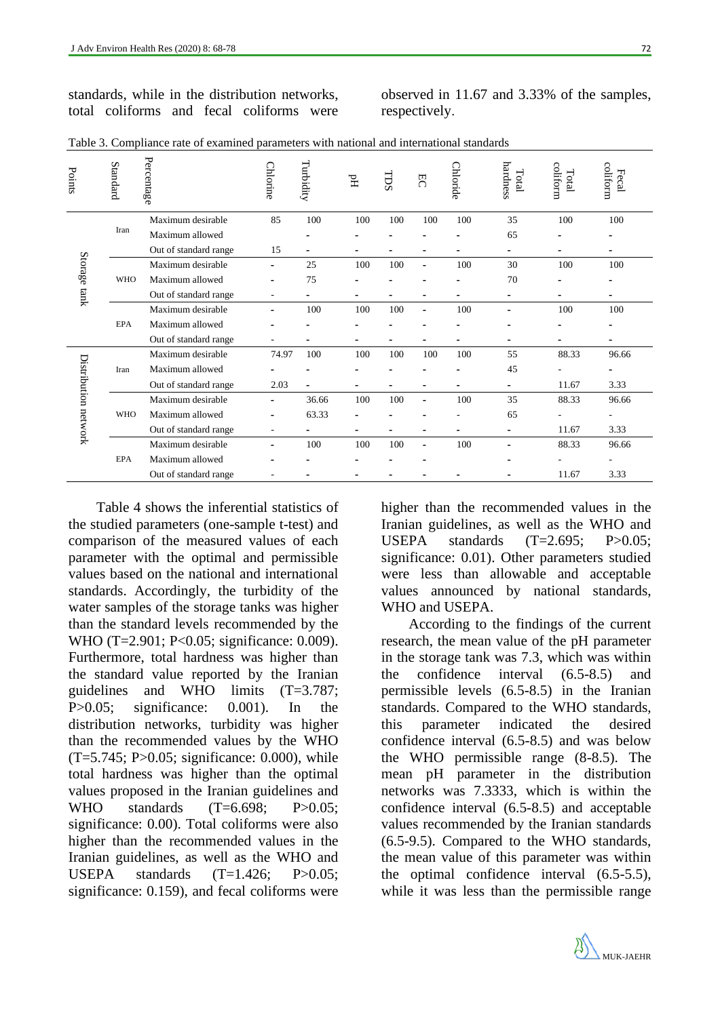standards, while in the distribution networks, total coliforms and fecal coliforms were observed in 11.67 and 3.33% of the samples, respectively.

| Points               | Standard   | Percentage            | Chlorine       | Turbidity      | $\rm H^{d}$ | ms  | $\overline{5}$           | Chloride | hardness<br>Total        | coliform<br>Total | coliform<br>Fecal |
|----------------------|------------|-----------------------|----------------|----------------|-------------|-----|--------------------------|----------|--------------------------|-------------------|-------------------|
|                      |            | Maximum desirable     | 85             | 100            | 100         | 100 | 100                      | 100      | 35                       | 100               | 100               |
|                      | Iran       | Maximum allowed       |                |                |             |     |                          |          | 65                       |                   |                   |
|                      |            | Out of standard range | 15             |                |             |     |                          |          |                          |                   |                   |
| Storage tank         |            | Maximum desirable     | ٠              | 25             | 100         | 100 | ۰                        | 100      | 30                       | 100               | 100               |
|                      | <b>WHO</b> | Maximum allowed       |                | 75             |             |     |                          |          | 70                       |                   |                   |
|                      |            | Out of standard range |                |                |             |     | -                        |          |                          |                   |                   |
|                      |            | Maximum desirable     |                | 100            | 100         | 100 |                          | 100      | -                        | 100               | 100               |
|                      | <b>EPA</b> | Maximum allowed       |                |                |             |     |                          |          |                          |                   |                   |
|                      |            | Out of standard range | $\overline{a}$ |                |             |     | ٠                        |          | -                        |                   | -                 |
|                      |            | Maximum desirable     | 74.97          | 100            | 100         | 100 | 100                      | 100      | 55                       | 88.33             | 96.66             |
|                      | Iran       | Maximum allowed       |                |                |             |     |                          |          | 45                       |                   |                   |
|                      |            | Out of standard range | 2.03           | $\overline{a}$ |             |     | $\blacksquare$           |          | $\overline{\phantom{a}}$ | 11.67             | 3.33              |
|                      |            | Maximum desirable     |                | 36.66          | 100         | 100 | ۰                        | 100      | 35                       | 88.33             | 96.66             |
|                      | <b>WHO</b> | Maximum allowed       | ٠              | 63.33          |             |     |                          |          | 65                       |                   | ۰                 |
| Distribution network |            | Out of standard range | $\overline{a}$ |                |             |     | ۳                        |          | ۰                        | 11.67             | 3.33              |
|                      |            | Maximum desirable     |                | 100            | 100         | 100 | $\overline{\phantom{0}}$ | 100      |                          | 88.33             | 96.66             |
|                      | <b>EPA</b> | Maximum allowed       |                |                |             |     |                          |          |                          |                   |                   |
|                      |            | Out of standard range |                |                |             |     |                          |          |                          | 11.67             | 3.33              |

Table 3. Compliance rate of examined parameters with national and international standards

Table 4 shows the inferential statistics of the studied parameters (one-sample t-test) and comparison of the measured values of each parameter with the optimal and permissible values based on the national and international standards. Accordingly, the turbidity of the water samples of the storage tanks was higher than the standard levels recommended by the WHO (T=2.901; P<0.05; significance: 0.009). Furthermore, total hardness was higher than the standard value reported by the Iranian guidelines and WHO limits (T=3.787; P>0.05; significance: 0.001). In the distribution networks, turbidity was higher than the recommended values by the WHO  $(T=5.745; P>0.05;$  significance: 0.000), while total hardness was higher than the optimal values proposed in the Iranian guidelines and WHO standards  $(T=6.698; P>0.05;$ significance: 0.00). Total coliforms were also higher than the recommended values in the Iranian guidelines, as well as the WHO and USEPA standards (T=1.426; P>0.05; significance: 0.159), and fecal coliforms were

higher than the recommended values in the Iranian guidelines, as well as the WHO and USEPA standards (T=2.695; P>0.05; significance: 0.01). Other parameters studied were less than allowable and acceptable values announced by national standards, WHO and USEPA.

According to the findings of the current research, the mean value of the pH parameter in the storage tank was 7.3, which was within the confidence interval (6.5-8.5) and permissible levels (6.5-8.5) in the Iranian standards. Compared to the WHO standards, this parameter indicated the desired confidence interval (6.5-8.5) and was below the WHO permissible range (8-8.5). The mean pH parameter in the distribution networks was 7.3333, which is within the confidence interval (6.5-8.5) and acceptable values recommended by the Iranian standards (6.5-9.5). Compared to the WHO standards, the mean value of this parameter was within the optimal confidence interval (6.5-5.5), while it was less than the permissible range

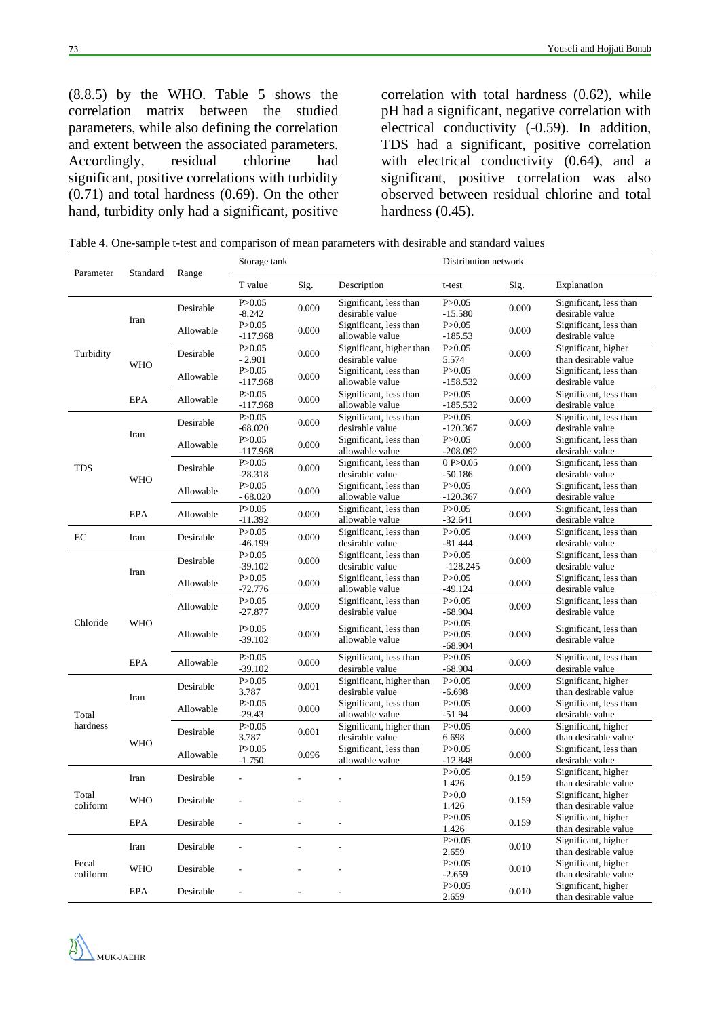(8.8.5) by the WHO. Table 5 shows the correlation matrix between the studied parameters, while also defining the correlation and extent between the associated parameters. Accordingly, residual chlorine had significant, positive correlations with turbidity (0.71) and total hardness (0.69). On the other hand, turbidity only had a significant, positive correlation with total hardness (0.62), while pH had a significant, negative correlation with electrical conductivity (-0.59). In addition, TDS had a significant, positive correlation with electrical conductivity (0.64), and a significant, positive correlation was also observed between residual chlorine and total hardness  $(0.45)$ .

Table 4. One-sample t-test and comparison of mean parameters with desirable and standard values

|                   |            | Range     | Storage tank             |       |                                             | Distribution network              |       |                                             |  |
|-------------------|------------|-----------|--------------------------|-------|---------------------------------------------|-----------------------------------|-------|---------------------------------------------|--|
| Parameter         | Standard   |           | T value                  | Sig.  | Description                                 | t-test                            | Sig.  | Explanation                                 |  |
|                   |            | Desirable | P > 0.05<br>$-8.242$     | 0.000 | Significant, less than<br>desirable value   | P > 0.05<br>$-15.580$             | 0.000 | Significant, less than<br>desirable value   |  |
|                   | Iran       | Allowable | P > 0.05<br>$-117.968$   | 0.000 | Significant, less than<br>allowable value   | P > 0.05<br>$-185.53$             | 0.000 | Significant, less than<br>desirable value   |  |
| Turbidity         | <b>WHO</b> | Desirable | P > 0.05<br>$-2.901$     | 0.000 | Significant, higher than<br>desirable value | P > 0.05<br>5.574                 | 0.000 | Significant, higher<br>than desirable value |  |
|                   |            | Allowable | P > 0.05<br>$-117.968$   | 0.000 | Significant, less than<br>allowable value   | P > 0.05<br>$-158.532$            | 0.000 | Significant, less than<br>desirable value   |  |
|                   | <b>EPA</b> | Allowable | P > 0.05<br>$-117.968$   | 0.000 | Significant, less than<br>allowable value   | P > 0.05<br>$-185.532$            | 0.000 | Significant, less than<br>desirable value   |  |
|                   | Iran       | Desirable | P > 0.05<br>$-68.020$    | 0.000 | Significant, less than<br>desirable value   | P > 0.05<br>$-120.367$            | 0.000 | Significant, less than<br>desirable value   |  |
|                   |            | Allowable | P > 0.05<br>$-117.968$   | 0.000 | Significant, less than<br>allowable value   | P > 0.05<br>$-208.092$            | 0.000 | Significant, less than<br>desirable value   |  |
| <b>TDS</b>        | <b>WHO</b> | Desirable | P > 0.05<br>$-28.318$    | 0.000 | Significant, less than<br>desirable value   | 0 P > 0.05<br>$-50.186$           | 0.000 | Significant, less than<br>desirable value   |  |
|                   |            | Allowable | P > 0.05<br>$-68.020$    | 0.000 | Significant, less than<br>allowable value   | P > 0.05<br>$-120.367$            | 0.000 | Significant, less than<br>desirable value   |  |
|                   | <b>EPA</b> | Allowable | P > 0.05<br>$-11.392$    | 0.000 | Significant, less than<br>allowable value   | P > 0.05<br>$-32.641$             | 0.000 | Significant, less than<br>desirable value   |  |
| EC                | Iran       | Desirable | P > 0.05<br>$-46.199$    | 0.000 | Significant, less than<br>desirable value   | P > 0.05<br>-81.444               | 0.000 | Significant, less than<br>desirable value   |  |
|                   | Iran       | Desirable | P > 0.05<br>$-39.102$    | 0.000 | Significant, less than<br>desirable value   | P > 0.05<br>$-128.245$            | 0.000 | Significant, less than<br>desirable value   |  |
|                   |            | Allowable | P > 0.05<br>$-72.776$    | 0.000 | Significant, less than<br>allowable value   | P > 0.05<br>-49.124               | 0.000 | Significant, less than<br>desirable value   |  |
|                   |            | Allowable | P > 0.05<br>$-27.877$    | 0.000 | Significant, less than<br>desirable value   | P > 0.05<br>$-68.904$             | 0.000 | Significant, less than<br>desirable value   |  |
| Chloride          | <b>WHO</b> | Allowable | P > 0.05<br>$-39.102$    | 0.000 | Significant, less than<br>allowable value   | P > 0.05<br>P > 0.05<br>$-68.904$ | 0.000 | Significant, less than<br>desirable value   |  |
|                   | <b>EPA</b> | Allowable | P > 0.05<br>$-39.102$    | 0.000 | Significant, less than<br>desirable value   | P > 0.05<br>$-68.904$             | 0.000 | Significant, less than<br>desirable value   |  |
|                   | Iran       | Desirable | P > 0.05<br>3.787        | 0.001 | Significant, higher than<br>desirable value | P > 0.05<br>$-6.698$              | 0.000 | Significant, higher<br>than desirable value |  |
| Total             |            | Allowable | P > 0.05<br>$-29.43$     | 0.000 | Significant, less than<br>allowable value   | P > 0.05<br>$-51.94$              | 0.000 | Significant, less than<br>desirable value   |  |
| hardness          | <b>WHO</b> | Desirable | P > 0.05<br>3.787        | 0.001 | Significant, higher than<br>desirable value | P > 0.05<br>6.698                 | 0.000 | Significant, higher<br>than desirable value |  |
|                   |            | Allowable | P > 0.05<br>$-1.750$     | 0.096 | Significant, less than<br>allowable value   | P > 0.05<br>$-12.848$             | 0.000 | Significant, less than<br>desirable value   |  |
|                   | Iran       | Desirable |                          |       |                                             | P > 0.05<br>1.426                 | 0.159 | Significant, higher<br>than desirable value |  |
| Total<br>coliform | <b>WHO</b> | Desirable | $\overline{\phantom{a}}$ |       |                                             | $P > 0.0$<br>1.426                | 0.159 | Significant, higher<br>than desirable value |  |
|                   | EPA        | Desirable | $\blacksquare$           |       |                                             | P > 0.05<br>1.426                 | 0.159 | Significant, higher<br>than desirable value |  |
|                   | Iran       | Desirable | $\Box$                   | ÷,    |                                             | P > 0.05<br>2.659                 | 0.010 | Significant, higher<br>than desirable value |  |
| Fecal<br>coliform | <b>WHO</b> | Desirable | $\blacksquare$           |       |                                             | P > 0.05<br>$-2.659$              | 0.010 | Significant, higher<br>than desirable value |  |
|                   | EPA        | Desirable | $\overline{\phantom{a}}$ |       |                                             | P > 0.05<br>2.659                 | 0.010 | Significant, higher<br>than desirable value |  |

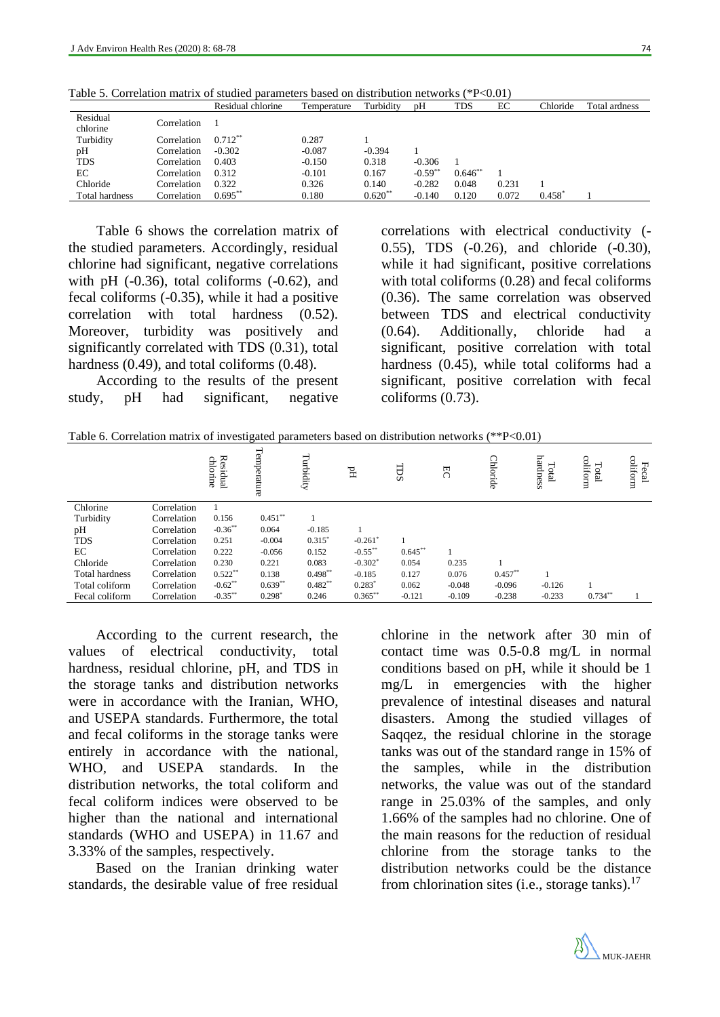|                       |             | Residual chlorine | Temperature | Turbidity | pH        | TDS       | EC    | Chloride | Total ardness |
|-----------------------|-------------|-------------------|-------------|-----------|-----------|-----------|-------|----------|---------------|
| Residual<br>chlorine  | Correlation |                   |             |           |           |           |       |          |               |
| Turbidity             | Correlation | $0.712***$        | 0.287       |           |           |           |       |          |               |
| pH                    | Correlation | $-0.302$          | $-0.087$    | $-0.394$  |           |           |       |          |               |
| <b>TDS</b>            | Correlation | 0.403             | $-0.150$    | 0.318     | $-0.306$  |           |       |          |               |
| EС                    | Correlation | 0.312             | $-0.101$    | 0.167     | $-0.59**$ | $0.646**$ |       |          |               |
| Chloride              | Correlation | 0.322             | 0.326       | 0.140     | $-0.282$  | 0.048     | 0.231 |          |               |
| <b>Total hardness</b> | Correlation | $0.695***$        | 0.180       | $0.620**$ | $-0.140$  | 0.120     | 0.072 | 0.458    |               |

Table 5. Correlation matrix of studied parameters based on distribution networks (\*P<0.01)

Table 6 shows the correlation matrix of the studied parameters. Accordingly, residual chlorine had significant, negative correlations with pH  $(-0.36)$ , total coliforms  $(-0.62)$ , and fecal coliforms (-0.35), while it had a positive correlation with total hardness (0.52). Moreover, turbidity was positively and significantly correlated with TDS (0.31), total hardness (0.49), and total coliforms (0.48).

According to the results of the present study, pH had significant, negative

correlations with electrical conductivity (- 0.55), TDS (-0.26), and chloride (-0.30), while it had significant, positive correlations with total coliforms (0.28) and fecal coliforms (0.36). The same correlation was observed between TDS and electrical conductivity (0.64). Additionally, chloride had a significant, positive correlation with total hardness (0.45), while total coliforms had a significant, positive correlation with fecal coliforms (0.73).

|  | Table 6. Correlation matrix of investigated parameters based on distribution networks (**P<0.01) |  |  |  |
|--|--------------------------------------------------------------------------------------------------|--|--|--|
|  |                                                                                                  |  |  |  |

|                       |             | Residual<br>chlorine | Temperature | Turbidity  | $\rm H$               | TDS        | RC       | Chloride  | hardness<br>⊣<br>etal | coliform<br><b>PED</b> | coliform<br>ᆔ<br>ecal |
|-----------------------|-------------|----------------------|-------------|------------|-----------------------|------------|----------|-----------|-----------------------|------------------------|-----------------------|
| Chlorine              | Correlation |                      |             |            |                       |            |          |           |                       |                        |                       |
| Turbidity             | Correlation | 0.156                | $0.451***$  |            |                       |            |          |           |                       |                        |                       |
| pH                    | Correlation | $-0.36**$            | 0.064       | $-0.185$   |                       |            |          |           |                       |                        |                       |
| <b>TDS</b>            | Correlation | 0.251                | $-0.004$    | $0.315*$   | $-0.261$ <sup>*</sup> |            |          |           |                       |                        |                       |
| EC                    | Correlation | 0.222                | $-0.056$    | 0.152      | $-0.55***$            | $0.645***$ |          |           |                       |                        |                       |
| Chloride              | Correlation | 0.230                | 0.221       | 0.083      | $-0.302*$             | 0.054      | 0.235    |           |                       |                        |                       |
| <b>Total hardness</b> | Correlation | $0.522**$            | 0.138       | $0.498**$  | $-0.185$              | 0.127      | 0.076    | $0.457**$ |                       |                        |                       |
| Total coliform        | Correlation | $-0.62$ **           | $0.639**$   | $0.482***$ | $0.283*$              | 0.062      | $-0.048$ | $-0.096$  | $-0.126$              |                        |                       |
| Fecal coliform        | Correlation | $-0.35***$           | $0.298*$    | 0.246      | $0.365***$            | $-0.121$   | $-0.109$ | $-0.238$  | $-0.233$              | $0.734**$              |                       |

According to the current research, the values of electrical conductivity, total hardness, residual chlorine, pH, and TDS in the storage tanks and distribution networks were in accordance with the Iranian, WHO, and USEPA standards. Furthermore, the total and fecal coliforms in the storage tanks were entirely in accordance with the national, WHO, and USEPA standards. In the distribution networks, the total coliform and fecal coliform indices were observed to be higher than the national and international standards (WHO and USEPA) in 11.67 and 3.33% of the samples, respectively.

Based on the Iranian drinking water standards, the desirable value of free residual

chlorine in the network after 30 min of contact time was 0.5-0.8 mg/L in normal conditions based on pH, while it should be 1 mg/L in emergencies with the higher prevalence of intestinal diseases and natural disasters. Among the studied villages of Saqqez, the residual chlorine in the storage tanks was out of the standard range in 15% of the samples, while in the distribution networks, the value was out of the standard range in 25.03% of the samples, and only 1.66% of the samples had no chlorine. One of the main reasons for the reduction of residual chlorine from the storage tanks to the distribution networks could be the distance from chlorination sites (i.e., storage tanks).<sup>17</sup>

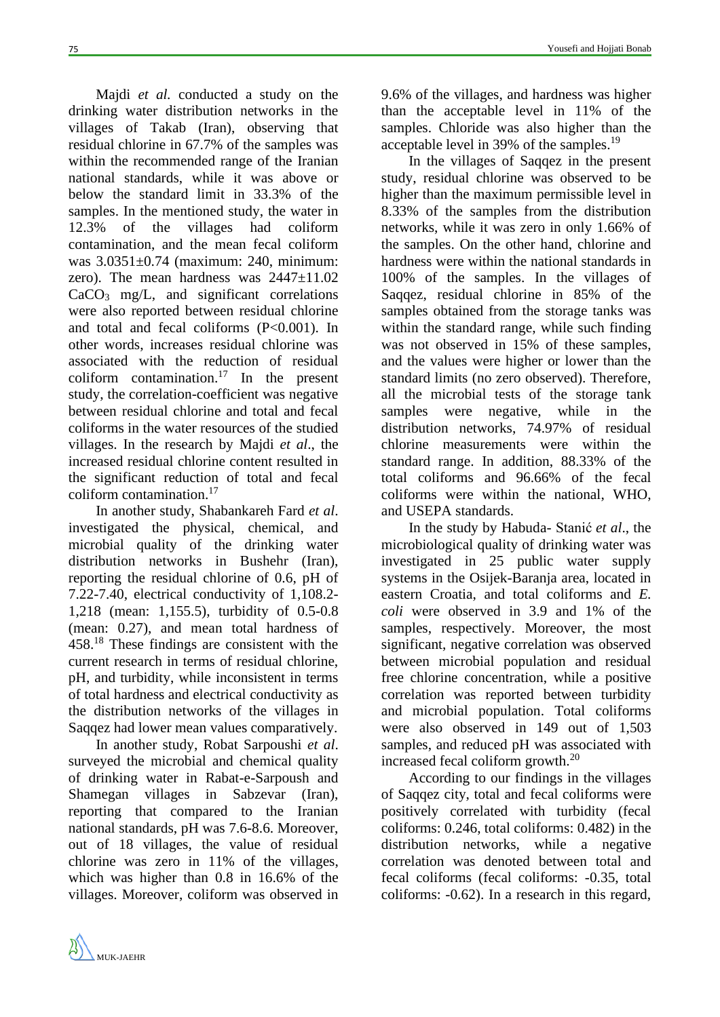Majdi *et al.* conducted a study on the drinking water distribution networks in the villages of Takab (Iran), observing that residual chlorine in 67.7% of the samples was within the recommended range of the Iranian national standards, while it was above or below the standard limit in 33.3% of the samples. In the mentioned study, the water in 12.3% of the villages had coliform contamination, and the mean fecal coliform was 3.0351±0.74 (maximum: 240, minimum: zero). The mean hardness was 2447±11.02  $CaCO<sub>3</sub>$  mg/L, and significant correlations were also reported between residual chlorine and total and fecal coliforms (P<0.001). In other words, increases residual chlorine was associated with the reduction of residual coliform contamination. <sup>17</sup> In the present study, the correlation-coefficient was negative between residual chlorine and total and fecal coliforms in the water resources of the studied villages. In the research by Majdi *et al*., the

increased residual chlorine content resulted in the significant reduction of total and fecal coliform contamination.<sup>17</sup>

In another study, Shabankareh Fard *et al*. investigated the physical, chemical, and microbial quality of the drinking water distribution networks in Bushehr (Iran), reporting the residual chlorine of 0.6, pH of 7.22-7.40, electrical conductivity of 1,108.2- 1,218 (mean: 1,155.5), turbidity of 0.5-0.8 (mean: 0.27), and mean total hardness of 458. <sup>18</sup> These findings are consistent with the current research in terms of residual chlorine, pH, and turbidity, while inconsistent in terms of total hardness and electrical conductivity as the distribution networks of the villages in Saqqez had lower mean values comparatively.

In another study, Robat Sarpoushi *et al*. surveyed the microbial and chemical quality of drinking water in Rabat-e-Sarpoush and Shamegan villages in Sabzevar (Iran), reporting that compared to the Iranian national standards, pH was 7.6-8.6. Moreover, out of 18 villages, the value of residual chlorine was zero in 11% of the villages, which was higher than 0.8 in 16.6% of the villages. Moreover, coliform was observed in

9.6% of the villages, and hardness was higher than the acceptable level in 11% of the samples. Chloride was also higher than the acceptable level in 39% of the samples.<sup>19</sup>

In the villages of Saqqez in the present study, residual chlorine was observed to be higher than the maximum permissible level in 8.33% of the samples from the distribution networks, while it was zero in only 1.66% of the samples. On the other hand, chlorine and hardness were within the national standards in 100% of the samples. In the villages of Saqqez, residual chlorine in 85% of the samples obtained from the storage tanks was within the standard range, while such finding was not observed in 15% of these samples, and the values were higher or lower than the standard limits (no zero observed). Therefore, all the microbial tests of the storage tank samples were negative, while in the distribution networks, 74.97% of residual chlorine measurements were within the standard range. In addition, 88.33% of the total coliforms and 96.66% of the fecal coliforms were within the national, WHO, and USEPA standards.

In the study by Habuda- Stanić *et al*., the microbiological quality of drinking water was investigated in 25 public water supply systems in the Osijek-Baranja area, located in eastern Croatia, and total coliforms and *E. coli* were observed in 3.9 and 1% of the samples, respectively. Moreover, the most significant, negative correlation was observed between microbial population and residual free chlorine concentration, while a positive correlation was reported between turbidity and microbial population. Total coliforms were also observed in 149 out of 1,503 samples, and reduced pH was associated with increased fecal coliform growth. 20

According to our findings in the villages of Saqqez city, total and fecal coliforms were positively correlated with turbidity (fecal coliforms: 0.246, total coliforms: 0.482) in the distribution networks, while a negative correlation was denoted between total and fecal coliforms (fecal coliforms: -0.35, total coliforms: -0.62). In a research in this regard,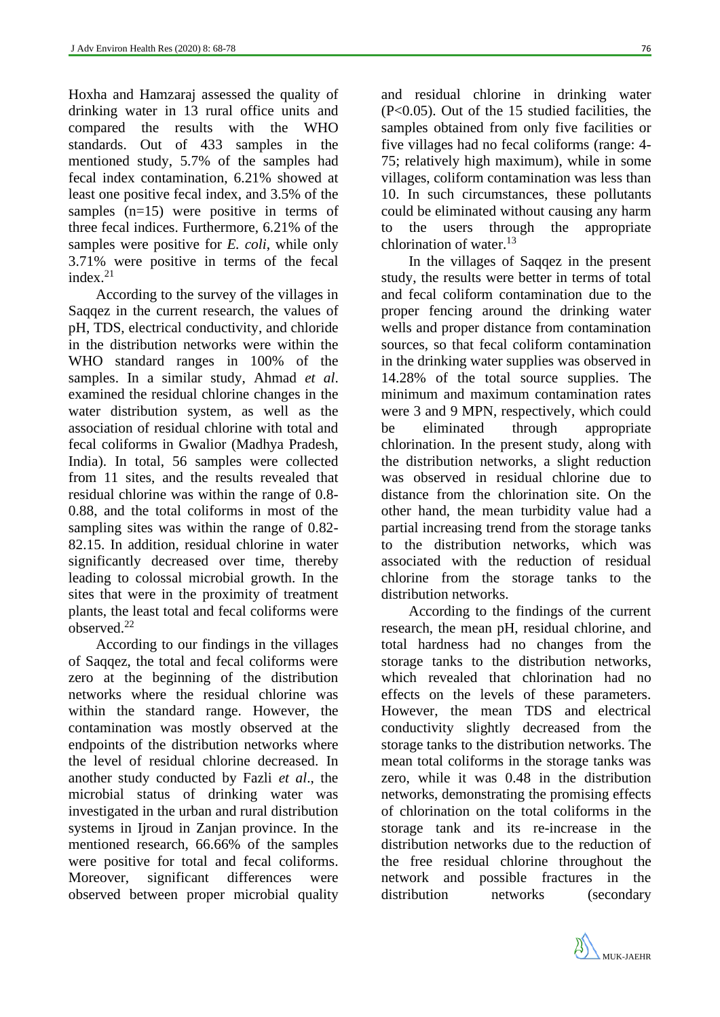Hoxha and Hamzaraj assessed the quality of drinking water in 13 rural office units and compared the results with the WHO standards. Out of 433 samples in the mentioned study, 5.7% of the samples had fecal index contamination, 6.21% showed at least one positive fecal index, and 3.5% of the samples (n=15) were positive in terms of three fecal indices. Furthermore, 6.21% of the samples were positive for *E. coli*, while only 3.71% were positive in terms of the fecal index. 21

According to the survey of the villages in Saqqez in the current research, the values of pH, TDS, electrical conductivity, and chloride in the distribution networks were within the WHO standard ranges in 100% of the samples. In a similar study, Ahmad *et al*. examined the residual chlorine changes in the water distribution system, as well as the association of residual chlorine with total and fecal coliforms in Gwalior (Madhya Pradesh, India). In total, 56 samples were collected from 11 sites, and the results revealed that residual chlorine was within the range of 0.8- 0.88, and the total coliforms in most of the sampling sites was within the range of 0.82- 82.15. In addition, residual chlorine in water significantly decreased over time, thereby leading to colossal microbial growth. In the sites that were in the proximity of treatment plants, the least total and fecal coliforms were observed. 22

According to our findings in the villages of Saqqez, the total and fecal coliforms were zero at the beginning of the distribution networks where the residual chlorine was within the standard range. However, the contamination was mostly observed at the endpoints of the distribution networks where the level of residual chlorine decreased. In another study conducted by Fazli *et al*., the microbial status of drinking water was investigated in the urban and rural distribution systems in Ijroud in Zanjan province. In the mentioned research, 66.66% of the samples were positive for total and fecal coliforms. Moreover, significant differences were observed between proper microbial quality

and residual chlorine in drinking water (P<0.05). Out of the 15 studied facilities, the samples obtained from only five facilities or five villages had no fecal coliforms (range: 4- 75; relatively high maximum), while in some villages, coliform contamination was less than 10. In such circumstances, these pollutants could be eliminated without causing any harm to the users through the appropriate chlorination of water.<sup>13</sup>

In the villages of Saqqez in the present study, the results were better in terms of total and fecal coliform contamination due to the proper fencing around the drinking water wells and proper distance from contamination sources, so that fecal coliform contamination in the drinking water supplies was observed in 14.28% of the total source supplies. The minimum and maximum contamination rates were 3 and 9 MPN, respectively, which could be eliminated through appropriate chlorination. In the present study, along with the distribution networks, a slight reduction was observed in residual chlorine due to distance from the chlorination site. On the other hand, the mean turbidity value had a partial increasing trend from the storage tanks to the distribution networks, which was associated with the reduction of residual chlorine from the storage tanks to the distribution networks.

According to the findings of the current research, the mean pH, residual chlorine, and total hardness had no changes from the storage tanks to the distribution networks, which revealed that chlorination had no effects on the levels of these parameters. However, the mean TDS and electrical conductivity slightly decreased from the storage tanks to the distribution networks. The mean total coliforms in the storage tanks was zero, while it was 0.48 in the distribution networks, demonstrating the promising effects of chlorination on the total coliforms in the storage tank and its re-increase in the distribution networks due to the reduction of the free residual chlorine throughout the network and possible fractures in the distribution networks (secondary

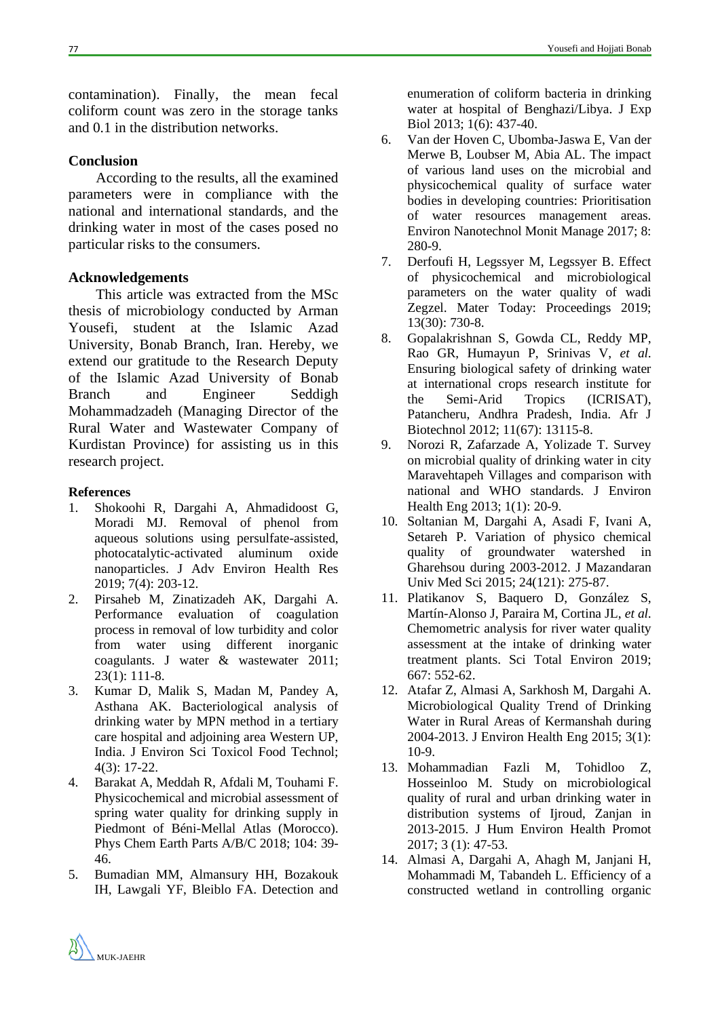contamination). Finally, the mean fecal coliform count was zero in the storage tanks and 0.1 in the distribution networks.

## **Conclusion**

According to the results, all the examined parameters were in compliance with the national and international standards, and the drinking water in most of the cases posed no particular risks to the consumers.

## **Acknowledgements**

This article was extracted from the MSc thesis of microbiology conducted by Arman Yousefi, student at the Islamic Azad University, Bonab Branch, Iran. Hereby, we extend our gratitude to the Research Deputy of the Islamic Azad University of Bonab Branch and Engineer Seddigh Mohammadzadeh (Managing Director of the Rural Water and Wastewater Company of Kurdistan Province) for assisting us in this research project.

## **References**

- 1. Shokoohi R, Dargahi A, Ahmadidoost G, Moradi MJ. Removal of phenol from aqueous solutions using persulfate-assisted, photocatalytic-activated aluminum oxide nanoparticles. J Adv Environ Health Res 2019; 7(4): 203-12.
- 2. Pirsaheb M, Zinatizadeh AK, Dargahi A. Performance evaluation of coagulation process in removal of low turbidity and color from water using different inorganic coagulants. J water & wastewater 2011; 23(1): 111-8.
- 3. Kumar D, Malik S, Madan M, Pandey A, Asthana AK. Bacteriological analysis of drinking water by MPN method in a tertiary care hospital and adjoining area Western UP, India. J Environ Sci Toxicol Food Technol; 4(3): 17-22.
- 4. Barakat A, Meddah R, Afdali M, Touhami F. Physicochemical and microbial assessment of spring water quality for drinking supply in Piedmont of Béni-Mellal Atlas (Morocco). Phys Chem Earth Parts A/B/C 2018; 104: 39- 46.
- 5. Bumadian MM, Almansury HH, Bozakouk IH, Lawgali YF, Bleiblo FA. Detection and

enumeration of coliform bacteria in drinking water at hospital of Benghazi/Libya. J Exp Biol 2013; 1(6): 437-40.

- 6. Van der Hoven C, Ubomba-Jaswa E, Van der Merwe B, Loubser M, Abia AL. The impact of various land uses on the microbial and physicochemical quality of surface water bodies in developing countries: Prioritisation of water resources management areas. Environ Nanotechnol Monit Manage 2017; 8: 280-9.
- 7. Derfoufi H, Legssyer M, Legssyer B. Effect of physicochemical and microbiological parameters on the water quality of wadi Zegzel. Mater Today: Proceedings 2019; 13(30): 730-8.
- 8. Gopalakrishnan S, Gowda CL, Reddy MP, Rao GR, Humayun P, Srinivas V, *et al*. Ensuring biological safety of drinking water at international crops research institute for the Semi-Arid Tropics (ICRISAT), Patancheru, Andhra Pradesh, India. Afr J Biotechnol 2012; 11(67): 13115-8.
- 9. Norozi R, Zafarzade A, Yolizade T. Survey on microbial quality of drinking water in city Maravehtapeh Villages and comparison with national and WHO standards. J Environ Health Eng 2013; 1(1): 20-9.
- 10. Soltanian M, Dargahi A, Asadi F, Ivani A, Setareh P. Variation of physico chemical quality of groundwater watershed in Gharehsou during 2003-2012. J Mazandaran Univ Med Sci 2015; 24(121): 275-87.
- 11. Platikanov S, Baquero D, González S, Martín-Alonso J, Paraira M, Cortina JL, *et al*. Chemometric analysis for river water quality assessment at the intake of drinking water treatment plants. Sci Total Environ 2019; 667: 552-62.
- 12. Atafar Z, Almasi A, Sarkhosh M, Dargahi A. Microbiological Quality Trend of Drinking Water in Rural Areas of Kermanshah during 2004-2013. J Environ Health Eng 2015; 3(1): 10-9.
- 13. Mohammadian Fazli M, Tohidloo Z, Hosseinloo M. Study on microbiological quality of rural and urban drinking water in distribution systems of Iiroud, Zanjan in 2013-2015. J Hum Environ Health Promot 2017; 3 (1): 47-53.
- 14. Almasi A, Dargahi A, Ahagh M, Janjani H, Mohammadi M, Tabandeh L. Efficiency of a constructed wetland in controlling organic